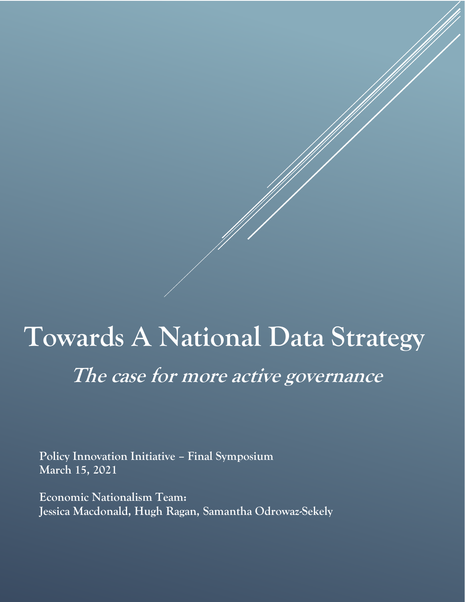# **Towards A National Data Strategy The case for more active governance**

**Policy Innovation Initiative – Final Symposium March 15, 2021**

**Economic Nationalism Team: Jessica Macdonald, Hugh Ragan, Samantha Odrowaz-Sekely**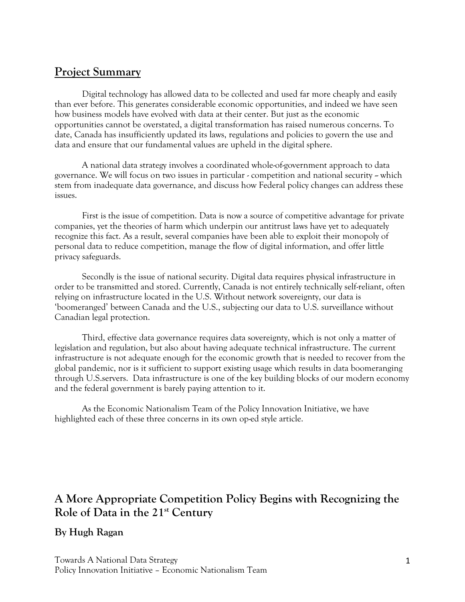### **Project Summary**

Digital technology has allowed data to be collected and used far more cheaply and easily than ever before. This generates considerable economic opportunities, and indeed we have seen how business models have evolved with data at their center. But just as the economic opportunities cannot be overstated, a digital transformation has raised numerous concerns. To date, Canada has insufficiently updated its laws, regulations and policies to govern the use and data and ensure that our fundamental values are upheld in the digital sphere.

A national data strategy involves a coordinated whole-of-government approach to data governance. We will focus on two issues in particular - competition and national security -- which stem from inadequate data governance, and discuss how Federal policy changes can address these issues.

First is the issue of competition. Data is now a source of competitive advantage for private companies, yet the theories of harm which underpin our antitrust laws have yet to adequately recognize this fact. As a result, several companies have been able to exploit their monopoly of personal data to reduce competition, manage the flow of digital information, and offer little privacy safeguards.

Secondly is the issue of national security. Digital data requires physical infrastructure in order to be transmitted and stored. Currently, Canada is not entirely technically self-reliant, often relying on infrastructure located in the U.S. Without network sovereignty, our data is 'boomeranged' between Canada and the U.S., subjecting our data to U.S. surveillance without Canadian legal protection.

Third, effective data governance requires data sovereignty, which is not only a matter of legislation and regulation, but also about having adequate technical infrastructure. The current infrastructure is not adequate enough for the economic growth that is needed to recover from the global pandemic, nor is it sufficient to support existing usage which results in data boomeranging through U.S.servers. Data infrastructure is one of the key building blocks of our modern economy and the federal government is barely paying attention to it.

As the Economic Nationalism Team of the Policy Innovation Initiative, we have highlighted each of these three concerns in its own op-ed style article.

# **A More Appropriate Competition Policy Begins with Recognizing the Role of Data in the 21st Century**

#### **By Hugh Ragan**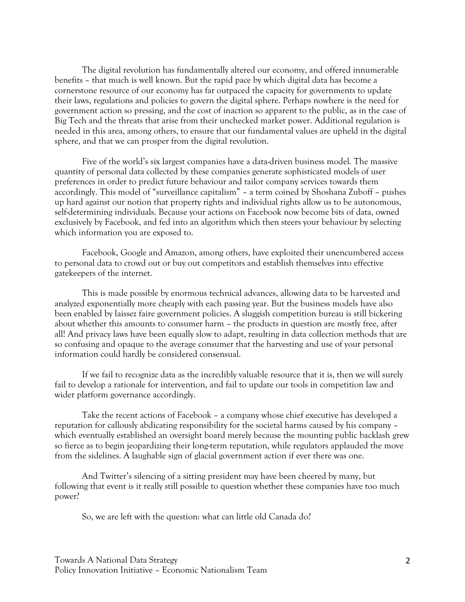The digital revolution has fundamentally altered our economy, and offered innumerable benefits – that much is well known. But the rapid pace by which digital data has become a cornerstone resource of our economy has far outpaced the capacity for governments to update their laws, regulations and policies to govern the digital sphere. Perhaps nowhere is the need for government action so pressing, and the cost of inaction so apparent to the public, as in the case of Big Tech and the threats that arise from their unchecked market power. Additional regulation is needed in this area, among others, to ensure that our fundamental values are upheld in the digital sphere, and that we can prosper from the digital revolution.

Five of the world's six largest companies have a data-driven business model. The massive quantity of personal data collected by these companies generate sophisticated models of user preferences in order to predict future behaviour and tailor company services towards them accordingly. This model of "surveillance capitalism" – a term coined by Shoshana Zuboff – pushes up hard against our notion that property rights and individual rights allow us to be autonomous, self-determining individuals. Because your actions on Facebook now become bits of data, owned exclusively by Facebook, and fed into an algorithm which then steers your behaviour by selecting which information you are exposed to.

Facebook, Google and Amazon, among others, have exploited their unencumbered access to personal data to crowd out or buy out competitors and establish themselves into effective gatekeepers of the internet.

This is made possible by enormous technical advances, allowing data to be harvested and analyzed exponentially more cheaply with each passing year. But the business models have also been enabled by laissez faire government policies. A sluggish competition bureau is still bickering about whether this amounts to consumer harm – the products in question are mostly free, after all! And privacy laws have been equally slow to adapt, resulting in data collection methods that are so confusing and opaque to the average consumer that the harvesting and use of your personal information could hardly be considered consensual.

If we fail to recognize data as the incredibly valuable resource that it is, then we will surely fail to develop a rationale for intervention, and fail to update our tools in competition law and wider platform governance accordingly.

Take the recent actions of Facebook – a company whose chief executive has developed a reputation for callously abdicating responsibility for the societal harms caused by his company – which eventually established an oversight board merely because the mounting public backlash grew so fierce as to begin jeopardizing their long-term reputation, while regulators applauded the move from the sidelines. A laughable sign of glacial government action if ever there was one.

And Twitter's silencing of a sitting president may have been cheered by many, but following that event is it really still possible to question whether these companies have too much power?

So, we are left with the question: what can little old Canada do?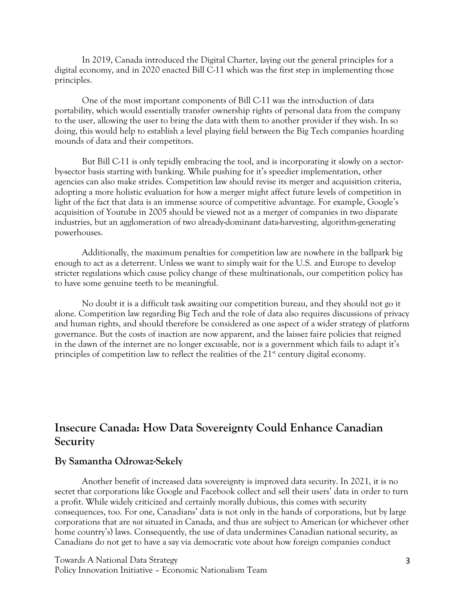In 2019, Canada introduced the Digital Charter, laying out the general principles for a digital economy, and in 2020 enacted Bill C-11 which was the first step in implementing those principles.

One of the most important components of Bill C-11 was the introduction of data portability, which would essentially transfer ownership rights of personal data from the company to the user, allowing the user to bring the data with them to another provider if they wish. In so doing, this would help to establish a level playing field between the Big Tech companies hoarding mounds of data and their competitors.

But Bill C-11 is only tepidly embracing the tool, and is incorporating it slowly on a sectorby-sector basis starting with banking. While pushing for it's speedier implementation, other agencies can also make strides. Competition law should revise its merger and acquisition criteria, adopting a more holistic evaluation for how a merger might affect future levels of competition in light of the fact that data is an immense source of competitive advantage. For example, Google's acquisition of Youtube in 2005 should be viewed not as a merger of companies in two disparate industries, but an agglomeration of two already-dominant data-harvesting, algorithm-generating powerhouses.

Additionally, the maximum penalties for competition law are nowhere in the ballpark big enough to act as a deterrent. Unless we want to simply wait for the U.S. and Europe to develop stricter regulations which cause policy change of these multinationals, our competition policy has to have some genuine teeth to be meaningful.

No doubt it is a difficult task awaiting our competition bureau, and they should not go it alone. Competition law regarding Big Tech and the role of data also requires discussions of privacy and human rights, and should therefore be considered as one aspect of a wider strategy of platform governance. But the costs of inaction are now apparent, and the laissez faire policies that reigned in the dawn of the internet are no longer excusable, nor is a government which fails to adapt it's principles of competition law to reflect the realities of the  $21<sup>st</sup>$  century digital economy.

## **Insecure Canada: How Data Sovereignty Could Enhance Canadian Security**

#### **By Samantha Odrowaz-Sekely**

Another benefit of increased data sovereignty is improved data security. In 2021, it is no secret that corporations like Google and Facebook collect and sell their users' data in order to turn a profit. While widely criticized and certainly morally dubious, this comes with security consequences, too. For one, Canadians' data is not only in the hands of corporations, but by large corporations that are *not* situated in Canada, and thus are subject to American (or whichever other home country's) laws. Consequently, the use of data undermines Canadian national security, as Canadians do not get to have a say via democratic vote about how foreign companies conduct

Towards A National Data Strategy Policy Innovation Initiative – Economic Nationalism Team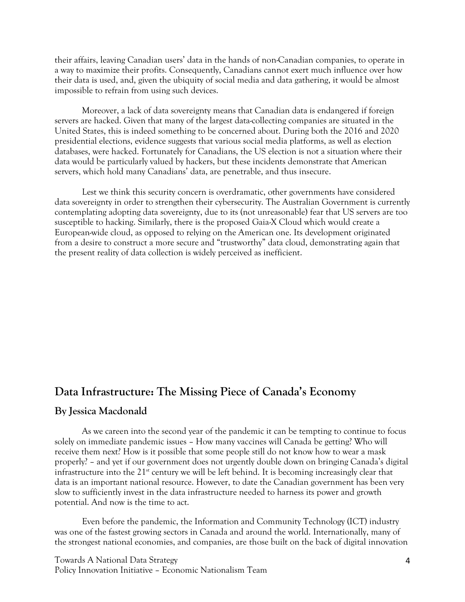their affairs, leaving Canadian users' data in the hands of non-Canadian companies, to operate in a way to maximize their profits. Consequently, Canadians cannot exert much influence over how their data is used, and, given the ubiquity of social media and data gathering, it would be almost impossible to refrain from using such devices.

Moreover, a lack of data sovereignty means that Canadian data is endangered if foreign servers are hacked. Given that many of the largest data-collecting companies are situated in the United States, this is indeed something to be concerned about. During both the 2016 and 2020 presidential elections, evidence suggests that various social media platforms, as well as election databases, were hacked. Fortunately for Canadians, the US election is not a situation where their data would be particularly valued by hackers, but these incidents demonstrate that American servers, which hold many Canadians' data, are penetrable, and thus insecure.

Lest we think this security concern is overdramatic, other governments have considered data sovereignty in order to strengthen their cybersecurity. The Australian Government is currently contemplating adopting data sovereignty, due to its (not unreasonable) fear that US servers are too susceptible to hacking. Similarly, there is the proposed Gaia-X Cloud which would create a European-wide cloud, as opposed to relying on the American one. Its development originated from a desire to construct a more secure and "trustworthy" data cloud, demonstrating again that the present reality of data collection is widely perceived as inefficient.

### **Data Infrastructure: The Missing Piece of Canada's Economy**

#### **By Jessica Macdonald**

As we careen into the second year of the pandemic it can be tempting to continue to focus solely on immediate pandemic issues – How many vaccines will Canada be getting? Who will receive them next? How is it possible that some people still do not know how to wear a mask properly? – and yet if our government does not urgently double down on bringing Canada's digital infrastructure into the  $21<sup>st</sup>$  century we will be left behind. It is becoming increasingly clear that data is an important national resource. However, to date the Canadian government has been very slow to sufficiently invest in the data infrastructure needed to harness its power and growth potential. And now is the time to act.

Even before the pandemic, the Information and Community Technology (ICT) industry was one of the fastest growing sectors in Canada and around the world. Internationally, many of the strongest national economies, and companies, are those built on the back of digital innovation